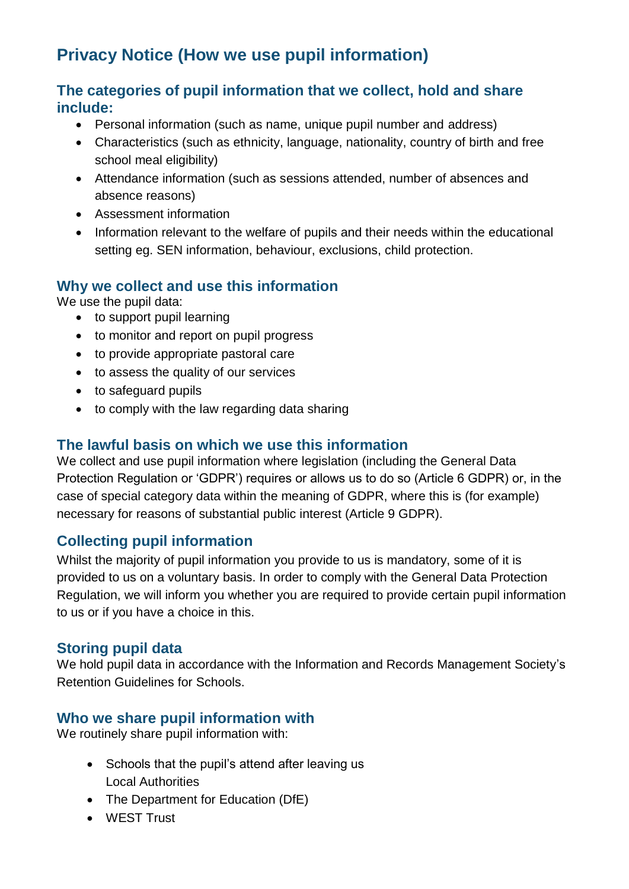# **Privacy Notice (How we use pupil information)**

#### **The categories of pupil information that we collect, hold and share include:**

- Personal information (such as name, unique pupil number and address)
- Characteristics (such as ethnicity, language, nationality, country of birth and free school meal eligibility)
- Attendance information (such as sessions attended, number of absences and absence reasons)
- Assessment information
- Information relevant to the welfare of pupils and their needs within the educational setting eg. SEN information, behaviour, exclusions, child protection.

#### **Why we collect and use this information**

We use the pupil data:

- to support pupil learning
- to monitor and report on pupil progress
- to provide appropriate pastoral care
- to assess the quality of our services
- to safeguard pupils
- to comply with the law regarding data sharing

#### **The lawful basis on which we use this information**

We collect and use pupil information where legislation (including the General Data Protection Regulation or 'GDPR') requires or allows us to do so (Article 6 GDPR) or, in the case of special category data within the meaning of GDPR, where this is (for example) necessary for reasons of substantial public interest (Article 9 GDPR).

#### **Collecting pupil information**

Whilst the majority of pupil information you provide to us is mandatory, some of it is provided to us on a voluntary basis. In order to comply with the General Data Protection Regulation, we will inform you whether you are required to provide certain pupil information to us or if you have a choice in this.

#### **Storing pupil data**

We hold pupil data in accordance with the Information and Records Management Society's Retention Guidelines for Schools.

#### **Who we share pupil information with**

We routinely share pupil information with:

- Schools that the pupil's attend after leaving us Local Authorities
- The Department for Education (DfE)
- WEST Trust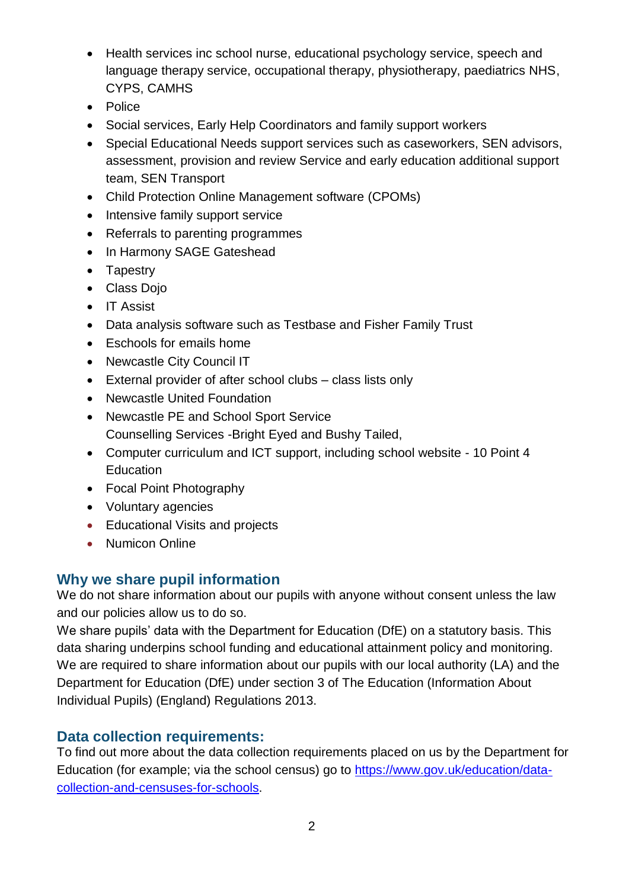- Health services inc school nurse, educational psychology service, speech and language therapy service, occupational therapy, physiotherapy, paediatrics NHS, CYPS, CAMHS
- Police
- Social services, Early Help Coordinators and family support workers
- Special Educational Needs support services such as caseworkers, SEN advisors, assessment, provision and review Service and early education additional support team, SEN Transport
- Child Protection Online Management software (CPOMs)
- Intensive family support service
- Referrals to parenting programmes
- In Harmony SAGE Gateshead
- Tapestry
- Class Dojo
- IT Assist
- Data analysis software such as Testbase and Fisher Family Trust
- Eschools for emails home
- Newcastle City Council IT
- External provider of after school clubs class lists only
- Newcastle United Foundation
- Newcastle PE and School Sport Service Counselling Services -Bright Eyed and Bushy Tailed,
- Computer curriculum and ICT support, including school website 10 Point 4 Education
- Focal Point Photography
- Voluntary agencies
- Educational Visits and projects
- Numicon Online

## **Why we share pupil information**

We do not share information about our pupils with anyone without consent unless the law and our policies allow us to do so.

We share pupils' data with the Department for Education (DfE) on a statutory basis. This data sharing underpins school funding and educational attainment policy and monitoring. We are required to share information about our pupils with our local authority (LA) and the Department for Education (DfE) under section 3 of The Education (Information About Individual Pupils) (England) Regulations 2013.

#### **Data collection requirements:**

To find out more about the data collection requirements placed on us by the Department for Education (for example; via the school census) go to [https://www.gov.uk/education/data](https://www.gov.uk/education/data-collection-and-censuses-for-schools)[collection-and-censuses-for-schools.](https://www.gov.uk/education/data-collection-and-censuses-for-schools)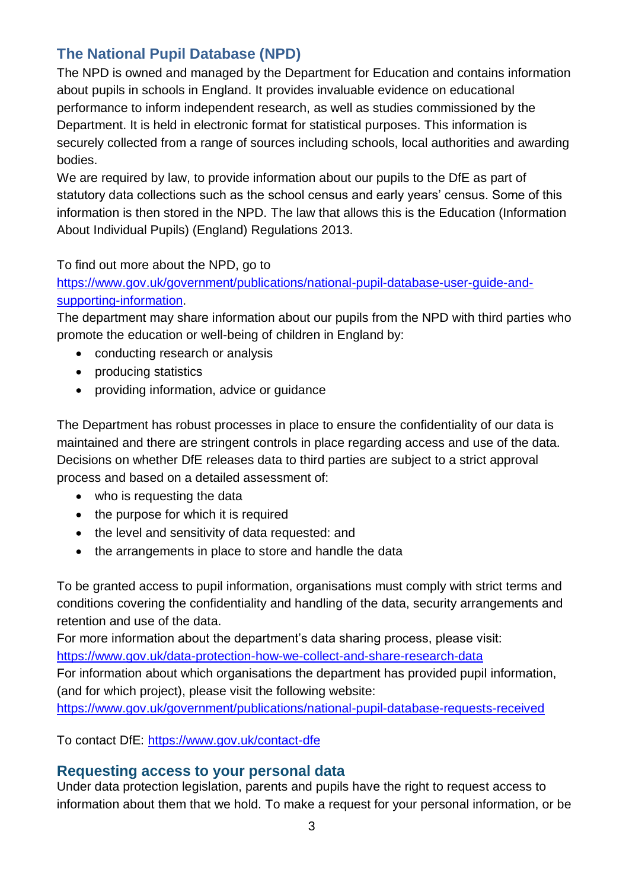## **The National Pupil Database (NPD)**

The NPD is owned and managed by the Department for Education and contains information about pupils in schools in England. It provides invaluable evidence on educational performance to inform independent research, as well as studies commissioned by the Department. It is held in electronic format for statistical purposes. This information is securely collected from a range of sources including schools, local authorities and awarding bodies.

We are required by law, to provide information about our pupils to the DfE as part of statutory data collections such as the school census and early years' census. Some of this information is then stored in the NPD. The law that allows this is the Education (Information About Individual Pupils) (England) Regulations 2013.

To find out more about the NPD, go to

[https://www.gov.uk/government/publications/national-pupil-database-user-guide-and](https://www.gov.uk/government/publications/national-pupil-database-user-guide-and-supporting-information)[supporting-information.](https://www.gov.uk/government/publications/national-pupil-database-user-guide-and-supporting-information)

The department may share information about our pupils from the NPD with third parties who promote the education or well-being of children in England by:

- conducting research or analysis
- producing statistics
- providing information, advice or quidance

The Department has robust processes in place to ensure the confidentiality of our data is maintained and there are stringent controls in place regarding access and use of the data. Decisions on whether DfE releases data to third parties are subject to a strict approval process and based on a detailed assessment of:

- who is requesting the data
- the purpose for which it is required
- the level and sensitivity of data requested: and
- the arrangements in place to store and handle the data

To be granted access to pupil information, organisations must comply with strict terms and conditions covering the confidentiality and handling of the data, security arrangements and retention and use of the data.

For more information about the department's data sharing process, please visit:

<https://www.gov.uk/data-protection-how-we-collect-and-share-research-data>

For information about which organisations the department has provided pupil information, (and for which project), please visit the following website:

<https://www.gov.uk/government/publications/national-pupil-database-requests-received>

To contact DfE:<https://www.gov.uk/contact-dfe>

#### **Requesting access to your personal data**

Under data protection legislation, parents and pupils have the right to request access to information about them that we hold. To make a request for your personal information, or be